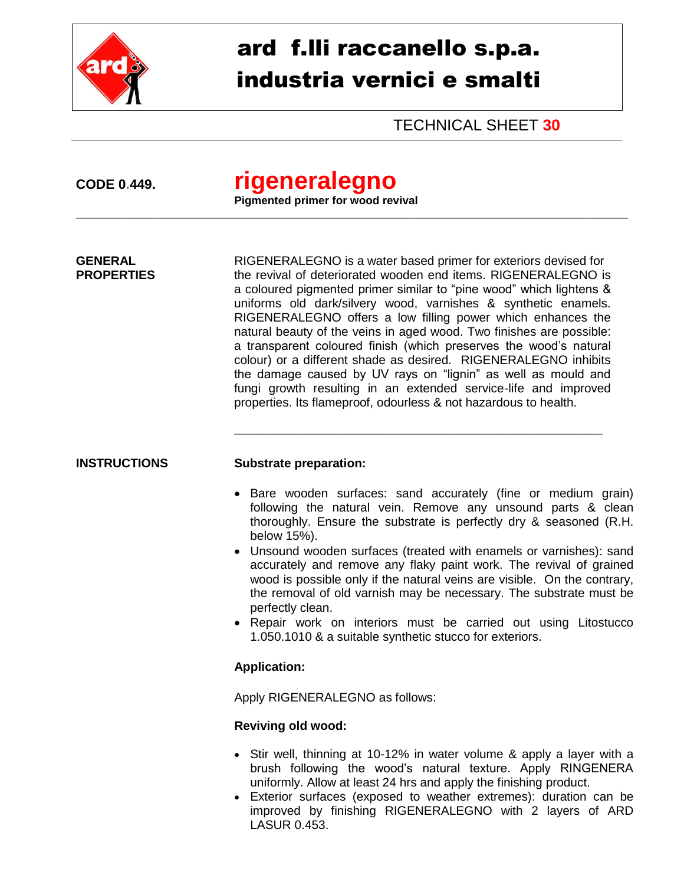

# ard f.lli raccanello s.p.a. industria vernici e smalti

TECHNICAL SHEET **30**

## **CODE 0.449. rigeneralegno**

**Pigmented primer for wood revival**

\_\_\_\_\_\_\_\_\_\_\_\_\_\_\_\_\_\_\_\_\_\_\_\_\_\_\_\_\_\_\_\_\_\_\_\_\_\_\_\_\_\_\_\_\_\_\_\_\_\_\_\_\_\_\_\_\_\_\_\_\_\_\_\_\_\_\_\_\_\_\_\_\_\_\_\_\_\_\_\_\_\_\_\_\_\_\_\_\_\_\_\_\_\_\_\_\_\_\_

**GENERAL** RIGENERALEGNO is a water based primer for exteriors devised for **PROPERTIES** the revival of deteriorated wooden end items. RIGENERALEGNO is a coloured pigmented primer similar to "pine wood" which lightens & uniforms old dark/silvery wood, varnishes & synthetic enamels. RIGENERALEGNO offers a low filling power which enhances the natural beauty of the veins in aged wood. Two finishes are possible: a transparent coloured finish (which preserves the wood's natural colour) or a different shade as desired. RIGENERALEGNO inhibits the damage caused by UV rays on "lignin" as well as mould and fungi growth resulting in an extended service-life and improved properties. Its flameproof, odourless & not hazardous to health.

### **INSTRUCTIONS Substrate preparation:**

• Bare wooden surfaces: sand accurately (fine or medium grain) following the natural vein. Remove any unsound parts & clean thoroughly. Ensure the substrate is perfectly dry & seasoned (R.H. below 15%).

\_\_\_\_\_\_\_\_\_\_\_\_\_\_\_\_\_\_\_\_\_\_\_\_\_\_\_\_\_\_\_\_\_\_\_\_\_\_\_\_\_\_\_\_\_\_\_\_\_\_\_\_\_\_\_\_\_\_\_\_\_\_\_\_\_\_

- Unsound wooden surfaces (treated with enamels or varnishes): sand accurately and remove any flaky paint work. The revival of grained wood is possible only if the natural veins are visible. On the contrary, the removal of old varnish may be necessary. The substrate must be perfectly clean.
- Repair work on interiors must be carried out using Litostucco 1.050.1010 & a suitable synthetic stucco for exteriors.

### **Application:**

Apply RIGENERALEGNO as follows:

### **Reviving old wood:**

- Stir well, thinning at 10-12% in water volume & apply a layer with a brush following the wood's natural texture. Apply RINGENERA uniformly. Allow at least 24 hrs and apply the finishing product.
- Exterior surfaces (exposed to weather extremes): duration can be improved by finishing RIGENERALEGNO with 2 layers of ARD LASUR 0.453.